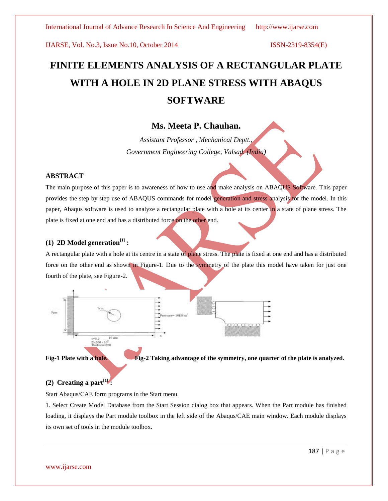# **FINITE ELEMENTS ANALYSIS OF A RECTANGULAR PLATE WITH A HOLE IN 2D PLANE STRESS WITH ABAQUS SOFTWARE**

# **Ms. Meeta P. Chauhan.**

*Assistant Professor , Mechanical Deptt., Government Engineering College, Valsad. (India)*

### **ABSTRACT**

The main purpose of this paper is to awareness of how to use and make analysis on ABAQUS Software. This paper provides the step by step use of ABAQUS commands for model generation and stress analysis for the model. In this paper, Abaqus software is used to analyze a rectangular plate with a hole at its center in a state of plane stress. The plate is fixed at one end and has a distributed force on the other end.

### **(1) 2D** Model generation<sup>[1]</sup> **:**

A rectangular plate with a hole at its centre in a state of plane stress. The plate is fixed at one end and has a distributed force on the other end as shown in Figure-1. Due to the symmetry of the plate this model have taken for just one fourth of the plate, see Figure-2.





**Fig-1 Plate with a hole. Fig-2 Taking advantage of the symmetry, one quarter of the plate is analyzed.**

### **(2) Creating a part**<sup>[1]</sup> **:**

Start Abaqus/CAE form programs in the Start menu.

1. Select Create Model Database from the Start Session dialog box that appears. When the Part module has finished loading, it displays the Part module toolbox in the left side of the Abaqus/CAE main window. Each module displays its own set of tools in the module toolbox.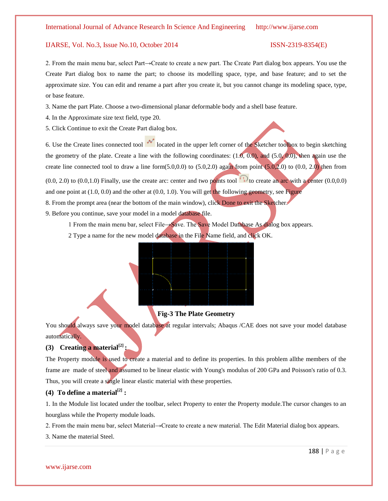2. From the main menu bar, select Part→Create to create a new part. The Create Part dialog box appears. You use the Create Part dialog box to name the part; to choose its modelling space, type, and base feature; and to set the approximate size. You can edit and rename a part after you create it, but you cannot change its modeling space, type, or base feature.

3. Name the part Plate. Choose a two-dimensional planar deformable body and a shell base feature.

- 4. In the Approximate size text field, type 20.
- 5. Click Continue to exit the Create Part dialog box.

6. Use the Create lines connected tool  $\mathcal{F}$  located in the upper left corner of the Sketcher toolbox to begin sketching the geometry of the plate. Create a line with the following coordinates:  $(1.0, 0.0)$ , and  $(5.0, 0.0)$ , then again use the create line connected tool to draw a line form $(5.0,0.0)$  to  $(5.0,2.0)$  again from point  $(5.0,2.0)$  to  $(0.0, 2.0)$  then from

 $(0.0, 2.0)$  to  $(0.0, 1.0)$  Finally, use the create arc: center and two points tool  $\binom{k}{k}$  to create an arc with a center  $(0.0, 0.0)$ and one point at  $(1.0, 0.0)$  and the other at  $(0.0, 1.0)$ . You will get the following geometry, see Figure

8. From the prompt area (near the bottom of the main window), click Done to exit the Sketcher.

9. Before you continue, save your model in a model database file.

1 From the main menu bar, select File→Save. The Save Model Database As dialog box appears.

2 Type a name for the new model database in the File Name field, and click OK.



### **Fig-3 The Plate Geometry**

You should always save your model database at regular intervals; Abaqus /CAE does not save your model database automatically.

### **(3) Creating a material[2] :**

The Property module is used to create a material and to define its properties. In this problem allthe members of the frame are made of steel and assumed to be linear elastic with Young's modulus of 200 GPa and Poisson's ratio of 0.3. Thus, you will create a single linear elastic material with these properties.

### **(4)** To define a material $^{[2]}$  :

1. In the Module list located under the toolbar, select Property to enter the Property module.The cursor changes to an hourglass while the Property module loads.

2. From the main menu bar, select Material→Create to create a new material. The Edit Material dialog box appears.

3. Name the material Steel.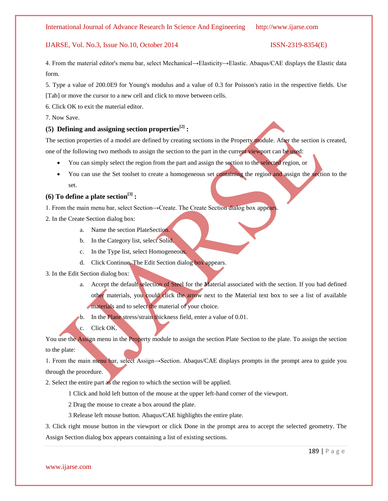4. From the material editor's menu bar, select Mechanical→Elasticity→Elastic. Abaqus/CAE displays the Elastic data form.

5. Type a value of 200.0E9 for Young's modulus and a value of 0.3 for Poisson's ratio in the respective fields. Use [Tab] or move the cursor to a new cell and click to move between cells.

6. Click OK to exit the material editor.

7. Now Save.

### **(5) Defining and assigning section properties[2] :**

The section properties of a model are defined by creating sections in the Property module. After the section is created, one of the following two methods to assign the section to the part in the current viewport can be used:

- You can simply select the region from the part and assign the section to the selected region, or
- You can use the Set toolset to create a homogeneous set containing the region and assign the section to the set.

### **(6) To define a plate section[3] :**

1. From the main menu bar, select Section→Create. The Create Section dialog box appears.

- 2. In the Create Section dialog box:
	- a. Name the section PlateSection.
	- b. In the Category list, select Solid.
	- c. In the Type list, select Homogeneous.
	- d. Click Continue. The Edit Section dialog box appears.

3. In the Edit Section dialog box:

- a. Accept the default selection of Steel for the Material associated with the section. If you had defined other materials, you could click the arrow next to the Material text box to see a list of available materials and to select the material of your choice.
- b. In the Plane stress/strain thickness field, enter a value of 0.01.
- c. Click OK.

You use the Assign menu in the Property module to assign the section Plate Section to the plate. To assign the section to the plate:

1. From the main menu bar, select Assign→Section. Abaqus/CAE displays prompts in the prompt area to guide you through the procedure.

2. Select the entire part as the region to which the section will be applied.

1 Click and hold left button of the mouse at the upper left-hand corner of the viewport.

2 Drag the mouse to create a box around the plate.

3 Release left mouse button. Abaqus/CAE highlights the entire plate.

3. Click right mouse button in the viewport or click Done in the prompt area to accept the selected geometry. The Assign Section dialog box appears containing a list of existing sections.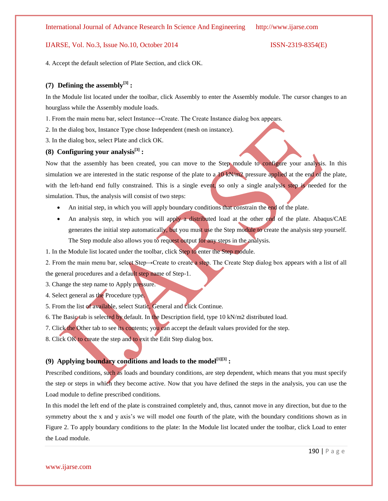4. Accept the default selection of Plate Section, and click OK.

In this model the left end of the plate is constrained completely and, thus, cannot move in any direction, but due to the

symmetry about the x and y axis's we will model one fourth of the plate, with the boundary conditions shown as in Figure 2. To apply boundary conditions to the plate: In the Module list located under the toolbar, click Load to enter the Load module.

Prescribed conditions, such as loads and boundary conditions, are step dependent, which means that you must specify the step or steps in which they become active. Now that you have defined the steps in the analysis, you can use the

# **(7) Defining the assembly[3] :**

In the Module list located under the toolbar, click Assembly to enter the Assembly module. The cursor changes to an hourglass while the Assembly module loads.

1. From the main menu bar, select Instance→Create. The Create Instance dialog box appears.

2. In the dialog box, Instance Type chose Independent (mesh on instance).

3. In the dialog box, select Plate and click OK.

## **(8) Configuring your analysis[3] :**

Now that the assembly has been created, you can move to the Step module to configure your analysis. In this simulation we are interested in the static response of the plate to a  $10 \text{ kN/m}$  pressure applied at the end of the plate, with the left-hand end fully constrained. This is a single event, so only a single analysis step is needed for the simulation. Thus, the analysis will consist of two steps:

- An initial step, in which you will apply boundary conditions that constrain the end of the plate.
- An analysis step, in which you will apply a distributed load at the other end of the plate. Abaqus/CAE generates the initial step automatically, but you must use the Step module to create the analysis step yourself. The Step module also allows you to request output for any steps in the analysis.

1. In the Module list located under the toolbar, click Step to enter the Step module.

2. From the main menu bar, select Step→Create to create a step. The Create Step dialog box appears with a list of all the general procedures and a default step name of Step-1.

3. Change the step name to Apply pressure.

Load module to define prescribed conditions.

- 4. Select general as the Procedure type.
- 5. From the list of available, select Static, General and click Continue.
- 6. The Basic tab is selected by default. In the Description field, type 10 kN/m2 distributed load.
- 7. Click the Other tab to see its contents; you can accept the default values provided for the step.
- 8. Click OK to create the step and to exit the Edit Step dialog box.

**(9) Applying boundary conditions and loads to the model[1][3] :**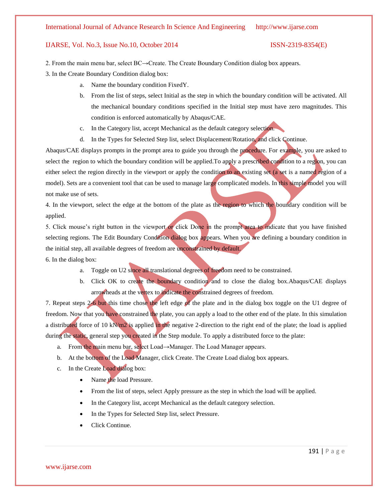### International Journal of Advance Research In Science And Engineering http://www.ijarse.com

### IJARSE, Vol. No.3, Issue No.10, October 2014 ISSN-2319-8354(E)

2. From the main menu bar, select BC→Create. The Create Boundary Condition dialog box appears.

3. In the Create Boundary Condition dialog box:

- a. Name the boundary condition FixedY.
- b. From the list of steps, select Initial as the step in which the boundary condition will be activated. All the mechanical boundary conditions specified in the Initial step must have zero magnitudes. This condition is enforced automatically by Abaqus/CAE.
- c. In the Category list, accept Mechanical as the default category selection.
- d. In the Types for Selected Step list, select Displacement/Rotation, and click Continue.

Abaqus/CAE displays prompts in the prompt area to guide you through the procedure. For example, you are asked to select the region to which the boundary condition will be applied. To apply a prescribed condition to a region, you can either select the region directly in the viewport or apply the condition to an existing set (a set is a named region of a model). Sets are a convenient tool that can be used to manage large complicated models. In this simple model you will not make use of sets.

4. In the viewport, select the edge at the bottom of the plate as the region to which the boundary condition will be applied.

5. Click mouse's right button in the viewport or click Done in the prompt area to indicate that you have finished selecting regions. The Edit Boundary Condition dialog box appears. When you are defining a boundary condition in the initial step, all available degrees of freedom are unconstrained by default.

6. In the dialog box:

- a. Toggle on U2 since all translational degrees of freedom need to be constrained.
- b. Click OK to create the boundary condition and to close the dialog box.Abaqus/CAE displays arrowheads at the vertex to indicate the constrained degrees of freedom.

7. Repeat steps 2-6 but this time chose the left edge of the plate and in the dialog box toggle on the U1 degree of freedom. Now that you have constrained the plate, you can apply a load to the other end of the plate. In this simulation a distributed force of 10 kN/m2 is applied in the negative 2-direction to the right end of the plate; the load is applied during the static, general step you created in the Step module. To apply a distributed force to the plate:

- a. From the main menu bar, select Load→Manager. The Load Manager appears.
- b. At the bottom of the Load Manager, click Create. The Create Load dialog box appears.
- c. In the Create Load dialog box:
	- Name the load Pressure.
	- From the list of steps, select Apply pressure as the step in which the load will be applied.
	- In the Category list, accept Mechanical as the default category selection.
	- In the Types for Selected Step list, select Pressure.
	- Click Continue.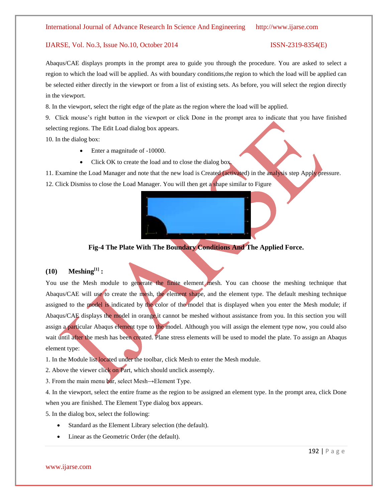Abaqus/CAE displays prompts in the prompt area to guide you through the procedure. You are asked to select a region to which the load will be applied. As with boundary conditions,the region to which the load will be applied can be selected either directly in the viewport or from a list of existing sets. As before, you will select the region directly in the viewport.

8. In the viewport, select the right edge of the plate as the region where the load will be applied.

9. Click mouse's right button in the viewport or click Done in the prompt area to indicate that you have finished selecting regions. The Edit Load dialog box appears.

10. In the dialog box:

- Enter a magnitude of -10000.
- Click OK to create the load and to close the dialog box.

11. Examine the Load Manager and note that the new load is Created (activated) in the analysis step Apply pressure. 12. Click Dismiss to close the Load Manager. You will then get a shape similar to Figure



### **Fig-4 The Plate With The Boundary Conditions And The Applied Force.**

### **(10) Meshing[1] :**

You use the Mesh module to generate the finite element mesh. You can choose the meshing technique that Abaqus/CAE will use to create the mesh, the element shape, and the element type. The default meshing technique assigned to the model is indicated by the color of the model that is displayed when you enter the Mesh module; if Abaqus/CAE displays the model in orange,it cannot be meshed without assistance from you. In this section you will assign a particular Abaqus element type to the model. Although you will assign the element type now, you could also wait until after the mesh has been created. Plane stress elements will be used to model the plate. To assign an Abaqus element type:

1. In the Module list located under the toolbar, click Mesh to enter the Mesh module.

2. Above the viewer click on Part, which should unclick assemply.

3. From the main menu bar, select Mesh→Element Type.

4. In the viewport, select the entire frame as the region to be assigned an element type. In the prompt area, click Done when you are finished. The Element Type dialog box appears.

5. In the dialog box, select the following:

- Standard as the Element Library selection (the default).
- Linear as the Geometric Order (the default).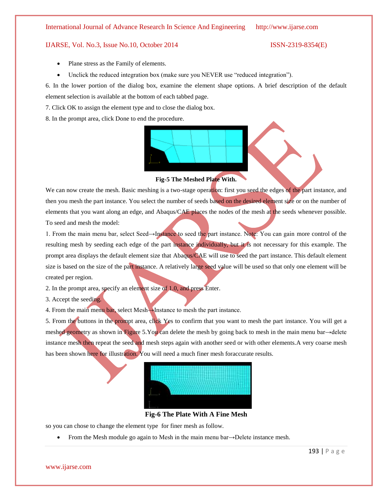### International Journal of Advance Research In Science And Engineering http://www.ijarse.com

### IJARSE, Vol. No.3, Issue No.10, October 2014 ISSN-2319-8354(E)

- Plane stress as the Family of elements.
- Unclick the reduced integration box (make sure you NEVER use "reduced integration").

6. In the lower portion of the dialog box, examine the element shape options. A brief description of the default element selection is available at the bottom of each tabbed page.

7. Click OK to assign the element type and to close the dialog box.

8. In the prompt area, click Done to end the procedure.



**Fig-5 The Meshed Plate With.**

We can now create the mesh. Basic meshing is a two-stage operation: first you seed the edges of the part instance, and then you mesh the part instance. You select the number of seeds based on the desired element size or on the number of elements that you want along an edge, and Abaqus/CAE places the nodes of the mesh at the seeds whenever possible. To seed and mesh the model:

1. From the main menu bar, select Seed→Instance to seed the part instance. Note: You can gain more control of the resulting mesh by seeding each edge of the part instance individually, but it is not necessary for this example. The prompt area displays the default element size that Abaqus/CAE will use to seed the part instance. This default element size is based on the size of the part instance. A relatively large seed value will be used so that only one element will be created per region.

- 2. In the prompt area, specify an element size of 1.0, and press Enter.
- 3. Accept the seeding.

4. From the main menu bar, select Mesh→Instance to mesh the part instance.

5. From the buttons in the prompt area, click Yes to confirm that you want to mesh the part instance. You will get a meshed geometry as shown in Figure 5.You can delete the mesh by going back to mesh in the main menu bar→delete instance mesh then repeat the seed and mesh steps again with another seed or with other elements.A very coarse mesh has been shown here for illustration. You will need a much finer mesh foraccurate results.



**Fig-6 The Plate With A Fine Mesh**

so you can chose to change the element type for finer mesh as follow.

From the Mesh module go again to Mesh in the main menu bar→Delete instance mesh.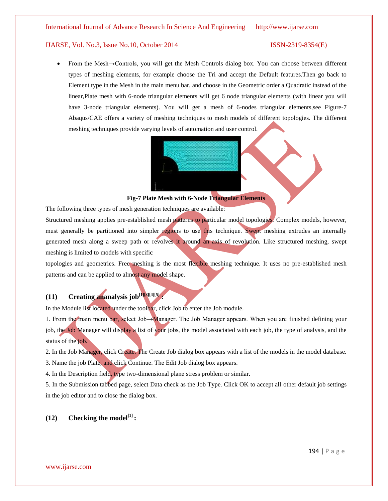From the Mesh→Controls, you will get the Mesh Controls dialog box. You can choose between different types of meshing elements, for example choose the Tri and accept the Default features.Then go back to Element type in the Mesh in the main menu bar, and choose in the Geometric order a Quadratic instead of the linear,Plate mesh with 6-node triangular elements will get 6 node triangular elements (with linear you will have 3-node triangular elements). You will get a mesh of 6-nodes triangular elements,see Figure-7 Abaqus/CAE offers a variety of meshing techniques to mesh models of different topologies. The different meshing techniques provide varying levels of automation and user control.



### **Fig-7 Plate Mesh with 6-Node Triangular Elements**

The following three types of mesh generation techniques are available:

Structured meshing applies pre-established mesh patterns to particular model topologies. Complex models, however, must generally be partitioned into simpler regions to use this technique. Swept meshing extrudes an internally generated mesh along a sweep path or revolves it around an axis of revolution. Like structured meshing, swept meshing is limited to models with specific

topologies and geometries. Free meshing is the most flexible meshing technique. It uses no pre-established mesh patterns and can be applied to almost any model shape.

# **(11) Creating ananalysis job[1][3][4][5] :**

In the Module list located under the toolbar, click Job to enter the Job module.

1. From the main menu bar, select Job→Manager. The Job Manager appears. When you are finished defining your job, the Job Manager will display a list of your jobs, the model associated with each job, the type of analysis, and the status of the job.

2. In the Job Manager, click Create. The Create Job dialog box appears with a list of the models in the model database.

3. Name the job Plate, and click Continue. The Edit Job dialog box appears.

4. In the Description field, type two-dimensional plane stress problem or similar.

5. In the Submission tabbed page, select Data check as the Job Type. Click OK to accept all other default job settings in the job editor and to close the dialog box.

# $(12)$  **Checking the model**<sup>[1]</sup> **:**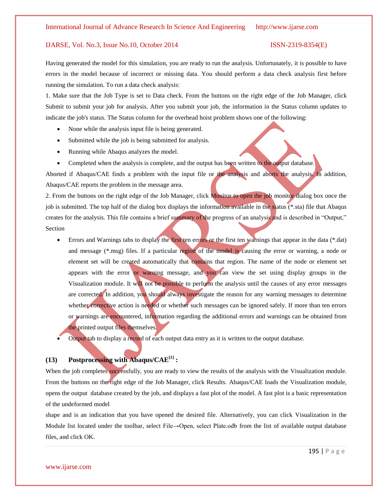Having generated the model for this simulation, you are ready to run the analysis. Unfortunately, it is possible to have errors in the model because of incorrect or missing data. You should perform a data check analysis first before running the simulation. To run a data check analysis:

1. Make sure that the Job Type is set to Data check. From the buttons on the right edge of the Job Manager, click Submit to submit your job for analysis. After you submit your job, the information in the Status column updates to indicate the job's status. The Status column for the overhead hoist problem shows one of the following:

- None while the analysis input file is being generated.
- Submitted while the job is being submitted for analysis.
- Running while Abaqus analyzes the model.
- Completed when the analysis is complete, and the output has been written to the output database.

Aborted if Abaqus/CAE finds a problem with the input file or the analysis and aborts the analysis. In addition, Abaqus/CAE reports the problem in the message area.

2. From the buttons on the right edge of the Job Manager, click Monitor to open the job monitor dialog box once the job is submitted. The top half of the dialog box displays the information available in the status (\*.sta) file that Abaqus creates for the analysis. This file contains a brief summary of the progress of an analysis and is described in "Output," Section

- Errors and Warnings tabs to display the first ten errors or the first ten warnings that appear in the data (\*.dat) and message (\*.msg) files. If a particular region of the model is causing the error or warning, a node or element set will be created automatically that contains that region. The name of the node or element set appears with the error or warning message, and you can view the set using display groups in the Visualization module. It will not be possible to perform the analysis until the causes of any error messages are corrected. In addition, you should always investigate the reason for any warning messages to determine whether corrective action is needed or whether such messages can be ignored safely. If more than ten errors or warnings are encountered, information regarding the additional errors and warnings can be obtained from the printed output files themselves.
- Output tab to display a record of each output data entry as it is written to the output database.

### **(13) Postprocessing with Abaqus/CAE[1] :**

When the job completes successfully, you are ready to view the results of the analysis with the Visualization module. From the buttons on the right edge of the Job Manager, click Results. Abaqus/CAE loads the Visualization module, opens the output database created by the job, and displays a fast plot of the model. A fast plot is a basic representation of the undeformed model

shape and is an indication that you have opened the desired file. Alternatively, you can click Visualization in the Module list located under the toolbar, select File→Open, select Plate.odb from the list of available output database files, and click OK.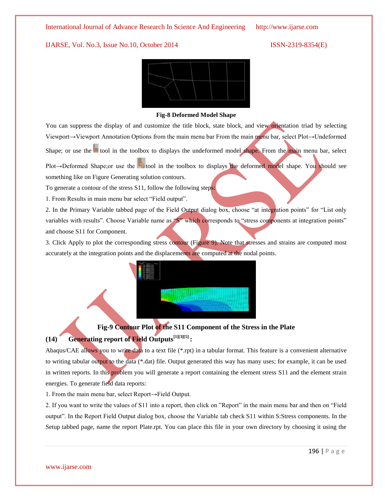

### **Fig-8 Deformed Model Shape**

You can suppress the display of and customize the title block, state block, and view orientation triad by selecting Viewport→Viewport Annotation Options from the main menu bar From the main menu bar, select Plot→Undeformed

Shape; or use the tool in the toolbox to displays the undeformed model shape. From the main menu bar, select

Plot→Deformed Shape;or use the **tool** in the toolbox to displays the deformed model shape. You should see something like on Figure Generating solution contours.

To generate a contour of the stress S11, follow the following steps:

1. From Results in main menu bar select "Field output".

2. In the Primary Variable tabbed page of the Field Output dialog box, choose "at integration points" for "List only variables with results". Choose Variable name as "S" which corresponds to "stress components at integration points" and choose S11 for Component.

3. Click Apply to plot the corresponding stress contour (Figure 9). Note that stresses and strains are computed most accurately at the integration points and the displacements are computed at the nodal points.



# **Fig-9 Contour Plot of the S11 Component of the Stress in the Plate (14) Generating report of Field Outputs[1][3][5] :**

Abaqus/CAE allows you to write data to a text file (\*.rpt) in a tabular format. This feature is a convenient alternative to writing tabular output to the data (\*.dat) file. Output generated this way has many uses; for example, it can be used in written reports. In this problem you will generate a report containing the element stress S11 and the element strain energies. To generate field data reports:

1. From the main menu bar, select Report→Field Output.

2. If you want to write the values of S11 into a report, then click on "Report" in the main menu bar and then on "Field output". In the Report Field Output dialog box, choose the Variable tab check S11 within S:Stress components. In the Setup tabbed page, name the report Plate.rpt. You can place this file in your own directory by choosing it using the